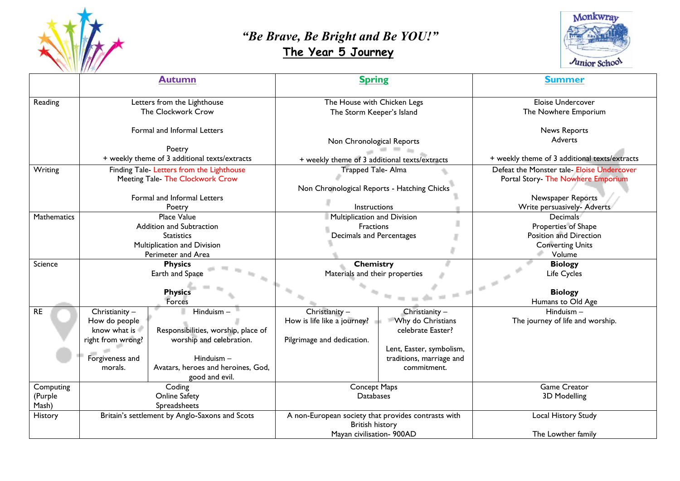

## *"Be Brave, Be Bright and Be YOU!"*   **The Year 5 Journey**



|                    | <b>Autumn</b>                                                                 |                                     | <b>Spring</b>                                       |                          | <b>Summer</b>                                                                    |
|--------------------|-------------------------------------------------------------------------------|-------------------------------------|-----------------------------------------------------|--------------------------|----------------------------------------------------------------------------------|
| Reading            | Letters from the Lighthouse<br>The Clockwork Crow                             |                                     | The House with Chicken Legs                         |                          | Eloise Undercover<br>The Nowhere Emporium                                        |
|                    | Formal and Informal Letters                                                   |                                     | The Storm Keeper's Island                           |                          | <b>News Reports</b>                                                              |
|                    | Poetry                                                                        |                                     | Non Chronological Reports                           |                          | Adverts                                                                          |
|                    | + weekly theme of 3 additional texts/extracts                                 |                                     | + weekly theme of 3 additional texts/extracts       |                          | + weekly theme of 3 additional texts/extracts                                    |
| Writing            | Finding Tale- Letters from the Lighthouse<br>Meeting Tale- The Clockwork Crow |                                     | Trapped Tale- Alma                                  |                          | Defeat the Monster tale- Eloise Undercover<br>Portal Story- The Nowhere Emporium |
|                    |                                                                               |                                     | Non Chronological Reports - Hatching Chicks         |                          |                                                                                  |
|                    | Formal and Informal Letters<br>Poetry                                         |                                     | Instructions                                        |                          | Newspaper Reports<br>Write persuasively- Adverts                                 |
| <b>Mathematics</b> | <b>Place Value</b>                                                            |                                     | Multiplication and Division                         |                          | Decimals                                                                         |
|                    | Addition and Subtraction                                                      |                                     | Fractions                                           |                          | Properties of Shape                                                              |
|                    | <b>Statistics</b>                                                             |                                     | Decimals and Percentages                            |                          | Position and Direction                                                           |
|                    | Multiplication and Division                                                   |                                     |                                                     |                          | <b>Converting Units</b>                                                          |
|                    | Perimeter and Area                                                            |                                     |                                                     |                          | Volume                                                                           |
| Science            | <b>Physics</b>                                                                |                                     | <b>Chemistry</b>                                    |                          | <b>Biology</b>                                                                   |
|                    | Earth and Space                                                               |                                     | Materials and their properties                      |                          | Life Cycles                                                                      |
|                    | <b>Physics</b>                                                                |                                     |                                                     |                          | <b>Biology</b>                                                                   |
|                    | Forces                                                                        |                                     |                                                     |                          | Humans to Old Age                                                                |
| <b>RE</b>          | Hinduism-<br>Christianity -                                                   |                                     | Christianity -                                      | Christianity -           | $Hinduism -$                                                                     |
|                    | How do people                                                                 |                                     | How is life like a journey?                         | <b>Why do Christians</b> | The journey of life and worship.                                                 |
|                    | know what is                                                                  | Responsibilities, worship, place of |                                                     | celebrate Easter?        |                                                                                  |
|                    | worship and celebration.<br>right from wrong?                                 |                                     | Pilgrimage and dedication.                          |                          |                                                                                  |
|                    |                                                                               |                                     |                                                     | Lent, Easter, symbolism, |                                                                                  |
|                    | Forgiveness and                                                               | $Hinduism -$                        |                                                     | traditions, marriage and |                                                                                  |
|                    | Avatars, heroes and heroines, God,<br>morals.<br>good and evil.               |                                     |                                                     | commitment.              |                                                                                  |
| Computing          | Coding                                                                        |                                     | Concept Maps                                        |                          | <b>Game Creator</b>                                                              |
| (Purple            | <b>Online Safety</b>                                                          |                                     | <b>Databases</b>                                    |                          | 3D Modelling                                                                     |
| Mash)              | Spreadsheets                                                                  |                                     |                                                     |                          |                                                                                  |
| History            | Britain's settlement by Anglo-Saxons and Scots                                |                                     | A non-European society that provides contrasts with |                          | Local History Study                                                              |
|                    |                                                                               |                                     | <b>British history</b><br>Mayan civilisation- 900AD |                          | The Lowther family                                                               |